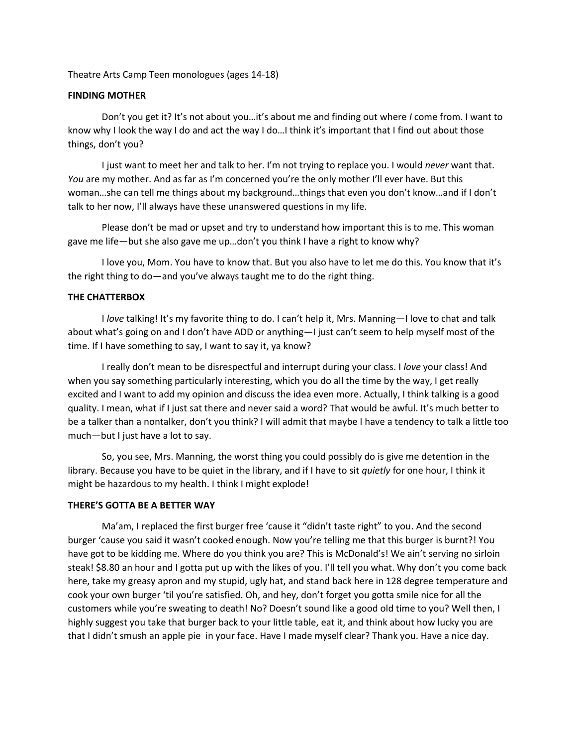Theatre Arts Camp Teen monologues (ages 14-18)

### **FINDING MOTHER**

Don't you get it? It's not about you…it's about me and finding out where *I* come from. I want to know why I look the way I do and act the way I do...I think it's important that I find out about those things, don't you?

I just want to meet her and talk to her. I'm not trying to replace you. I would *never* want that. *You* are my mother. And as far as I'm concerned you're the only mother I'll ever have. But this woman…she can tell me things about my background…things that even you don't know…and if I don't talk to her now, I'll always have these unanswered questions in my life.

Please don't be mad or upset and try to understand how important this is to me. This woman gave me life—but she also gave me up…don't you think I have a right to know why?

I love you, Mom. You have to know that. But you also have to let me do this. You know that it's the right thing to do—and you've always taught me to do the right thing.

# **THE CHATTERBOX**

I *love* talking! It's my favorite thing to do. I can't help it, Mrs. Manning—I love to chat and talk about what's going on and I don't have ADD or anything—I just can't seem to help myself most of the time. If I have something to say, I want to say it, ya know?

I really don't mean to be disrespectful and interrupt during your class. I *love* your class! And when you say something particularly interesting, which you do all the time by the way, I get really excited and I want to add my opinion and discuss the idea even more. Actually, I think talking is a good quality. I mean, what if I just sat there and never said a word? That would be awful. It's much better to be a talker than a nontalker, don't you think? I will admit that maybe I have a tendency to talk a little too much—but I just have a lot to say.

So, you see, Mrs. Manning, the worst thing you could possibly do is give me detention in the library. Because you have to be quiet in the library, and if I have to sit *quietly* for one hour, I think it might be hazardous to my health. I think I might explode!

# **THERE'S GOTTA BE A BETTER WAY**

Ma'am, I replaced the first burger free 'cause it "didn't taste right" to you. And the second burger 'cause you said it wasn't cooked enough. Now you're telling me that this burger is burnt?! You have got to be kidding me. Where do you think you are? This is McDonald's! We ain't serving no sirloin steak! \$8.80 an hour and I gotta put up with the likes of you. I'll tell you what. Why don't you come back here, take my greasy apron and my stupid, ugly hat, and stand back here in 128 degree temperature and cook your own burger 'til you're satisfied. Oh, and hey, don't forget you gotta smile nice for all the customers while you're sweating to death! No? Doesn't sound like a good old time to you? Well then, I highly suggest you take that burger back to your little table, eat it, and think about how lucky you are that I didn't smush an apple pie in your face. Have I made myself clear? Thank you. Have a nice day.